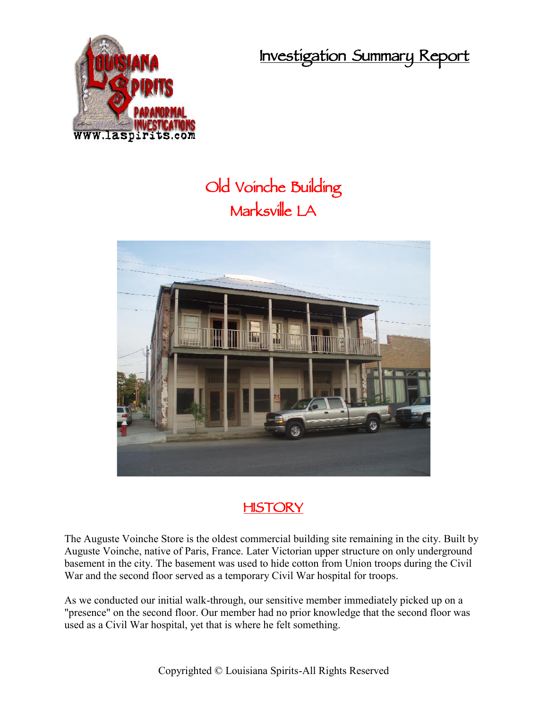**Investigation Summary Report**



## **Old Voinche Building Marksville LA**



## **HISTORY**

The Auguste Voinche Store is the oldest commercial building site remaining in the city. Built by Auguste Voinche, native of Paris, France. Later Victorian upper structure on only underground basement in the city. The basement was used to hide cotton from Union troops during the Civil War and the second floor served as a temporary Civil War hospital for troops.

As we conducted our initial walk-through, our sensitive member immediately picked up on a "presence" on the second floor. Our member had no prior knowledge that the second floor was used as a Civil War hospital, yet that is where he felt something.